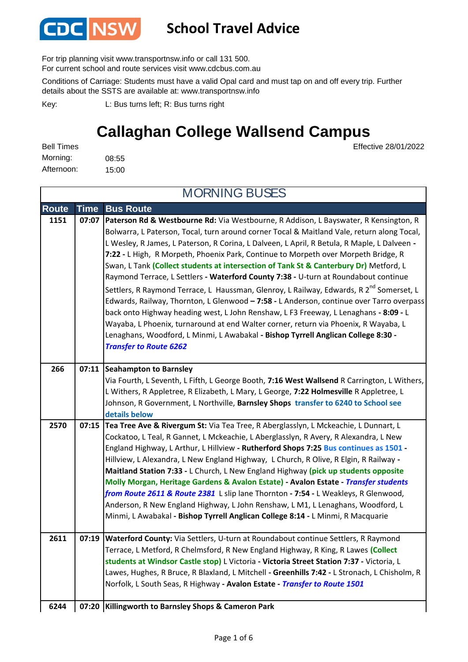

#### **School Travel Advice**

For trip planning visit www.transportnsw.info or call 131 500.

For current school and route services visit www.cdcbus.com.au

Conditions of Carriage: Students must have a valid Opal card and must tap on and off every trip. Further details about the SSTS are available at: www.transportnsw.info

L: Bus turns left; R: Bus turns right Key:

## **Callaghan College Wallsend Campus**

Effective 28/01/2022

| <b>Bell Times</b> |       |
|-------------------|-------|
| Morning:          | 08:55 |
| Afternoon:        | 15:00 |

**Route Time Bus Route 1151 07:07 Paterson Rd & Westbourne Rd:** Via Westbourne, R Addison, L Bayswater, R Kensington, R Bolwarra, L Paterson, Tocal, turn around corner Tocal & Maitland Vale, return along Tocal, L Wesley, R James, L Paterson, R Corina, L Dalveen, L April, R Betula, R Maple, L Dalveen **- 7:22 -** L High, R Morpeth, Phoenix Park, Continue to Morpeth over Morpeth Bridge, R Swan, L Tank **(Collect students at intersection of Tank St & Canterbury Dr)** Metford, L Raymond Terrace, L Settlers **- Waterford County 7:38 -** U-turn at Roundabout continue Settlers, R Raymond Terrace, L Haussman, Glenroy, L Railway, Edwards, R 2<sup>nd</sup> Somerset. L Edwards, Railway, Thornton, L Glenwood **– 7:58 -** L Anderson, continue over Tarro overpass back onto Highway heading west, L John Renshaw, L F3 Freeway, L Lenaghans **- 8:09 -** L Wayaba, L Phoenix, turnaround at end Walter corner, return via Phoenix, R Wayaba, L Lenaghans, Woodford, L Minmi, L Awabakal **- Bishop Tyrrell Anglican College 8:30 -**  *Transfer to Route 6262*  **Seahampton to Barnsley 266 07:11** Via Fourth, L Seventh, L Fifth, L George Booth, **7:16 West Wallsend** R Carrington, L Withers, L Withers, R Appletree, R Elizabeth, L Mary, L George, **7:22 Holmesville** R Appletree, L Johnson, R Government, L Northville, **Barnsley Shops transfer to 6240 to School see details below 2570 07:15 Tea Tree Ave & Rivergum St:** Via Tea Tree, R Aberglasslyn, L Mckeachie, L Dunnart, L Cockatoo, L Teal, R Gannet, L Mckeachie, L Aberglasslyn, R Avery, R Alexandra, L New England Highway, L Arthur, L Hillview **- Rutherford Shops 7:25 Bus continues as 1501 -**  Hillview, L Alexandra, L New England Highway, L Church, R Olive, R Elgin, R Railway **- Maitland Station 7:33 -** L Church, L New England Highway **(pick up students opposite Molly Morgan, Heritage Gardens & Avalon Estate) - Avalon Estate -** *Transfer students from Route 2611 & Route 2381* L slip lane Thornton **- 7:54 -** L Weakleys, R Glenwood, Anderson, R New England Highway, L John Renshaw, L M1, L Lenaghans, Woodford, L Minmi, L Awabakal **- Bishop Tyrrell Anglican College 8:14 -** L Minmi, R Macquarie **2611 07:19 Waterford County:** Via Settlers, U-turn at Roundabout continue Settlers, R Raymond Terrace, L Metford, R Chelmsford, R New England Highway, R King, R Lawes **(Collect students at Windsor Castle stop)** L Victoria **- Victoria Street Station 7:37 -** Victoria, L Lawes, Hughes, R Bruce, R Blaxland, L Mitchell **- Greenhills 7:42 -** L Stronach, L Chisholm, R Norfolk, L South Seas, R Highway **- Avalon Estate -** *Transfer to Route 1501* **Killingworth to Barnsley Shops & Cameron Park 6244 07:20** MORNING BUSES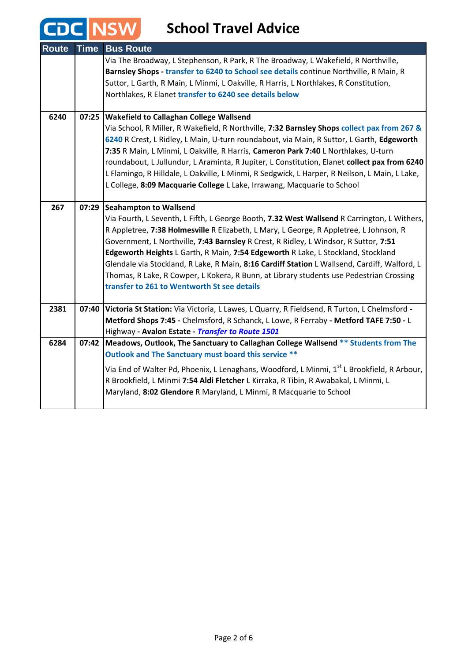# **CDC** NSW School Travel Advice

| <b>Route</b> | <b>Time</b> | <b>Bus Route</b>                                                                                                                              |
|--------------|-------------|-----------------------------------------------------------------------------------------------------------------------------------------------|
|              |             | Via The Broadway, L Stephenson, R Park, R The Broadway, L Wakefield, R Northville,                                                            |
|              |             | Barnsley Shops - transfer to 6240 to School see details continue Northville, R Main, R                                                        |
|              |             | Suttor, L Garth, R Main, L Minmi, L Oakville, R Harris, L Northlakes, R Constitution,                                                         |
|              |             | Northlakes, R Elanet transfer to 6240 see details below                                                                                       |
| 6240         | 07:25       |                                                                                                                                               |
|              |             | <b>Wakefield to Callaghan College Wallsend</b><br>Via School, R Miller, R Wakefield, R Northville, 7:32 Barnsley Shops collect pax from 267 & |
|              |             | 6240 R Crest, L Ridley, L Main, U-turn roundabout, via Main, R Suttor, L Garth, Edgeworth                                                     |
|              |             | 7:35 R Main, L Minmi, L Oakville, R Harris, Cameron Park 7:40 L Northlakes, U-turn                                                            |
|              |             | roundabout, L Jullundur, L Araminta, R Jupiter, L Constitution, Elanet collect pax from 6240                                                  |
|              |             | L Flamingo, R Hilldale, L Oakville, L Minmi, R Sedgwick, L Harper, R Neilson, L Main, L Lake,                                                 |
|              |             | L College, 8:09 Macquarie College L Lake, Irrawang, Macquarie to School                                                                       |
|              |             |                                                                                                                                               |
| 267          | 07:29       | <b>Seahampton to Wallsend</b>                                                                                                                 |
|              |             | Via Fourth, L Seventh, L Fifth, L George Booth, 7.32 West Wallsend R Carrington, L Withers,                                                   |
|              |             | R Appletree, 7:38 Holmesville R Elizabeth, L Mary, L George, R Appletree, L Johnson, R                                                        |
|              |             | Government, L Northville, 7:43 Barnsley R Crest, R Ridley, L Windsor, R Suttor, 7:51                                                          |
|              |             | Edgeworth Heights L Garth, R Main, 7:54 Edgeworth R Lake, L Stockland, Stockland                                                              |
|              |             | Glendale via Stockland, R Lake, R Main, 8:16 Cardiff Station L Wallsend, Cardiff, Walford, L                                                  |
|              |             | Thomas, R Lake, R Cowper, L Kokera, R Bunn, at Library students use Pedestrian Crossing                                                       |
|              |             | transfer to 261 to Wentworth St see details                                                                                                   |
| 2381         | 07:40       | Victoria St Station: Via Victoria, L Lawes, L Quarry, R Fieldsend, R Turton, L Chelmsford -                                                   |
|              |             | Metford Shops 7:45 - Chelmsford, R Schanck, L Lowe, R Ferraby - Metford TAFE 7:50 - L                                                         |
|              |             | Highway - Avalon Estate - Transfer to Route 1501                                                                                              |
| 6284         |             | 07:42   Meadows, Outlook, The Sanctuary to Callaghan College Wallsend ** Students from The                                                    |
|              |             | Outlook and The Sanctuary must board this service **                                                                                          |
|              |             | Via End of Walter Pd, Phoenix, L Lenaghans, Woodford, L Minmi, 1 <sup>st</sup> L Brookfield, R Arbour,                                        |
|              |             | R Brookfield, L Minmi 7:54 Aldi Fletcher L Kirraka, R Tibin, R Awabakal, L Minmi, L                                                           |
|              |             | Maryland, 8:02 Glendore R Maryland, L Minmi, R Macquarie to School                                                                            |
|              |             |                                                                                                                                               |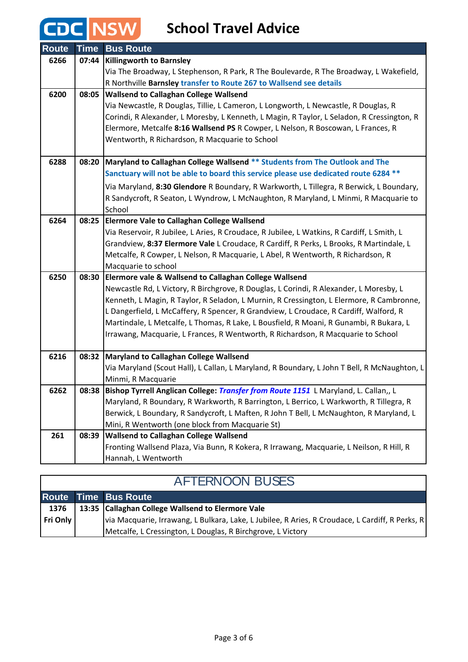## **CDC NSW**

**School Travel Advice**

| <b>Route</b> | <b>Time</b> | <b>Bus Route</b>                                                                            |
|--------------|-------------|---------------------------------------------------------------------------------------------|
| 6266         | 07:44       | <b>Killingworth to Barnsley</b>                                                             |
|              |             | Via The Broadway, L Stephenson, R Park, R The Boulevarde, R The Broadway, L Wakefield,      |
|              |             | R Northville Barnsley transfer to Route 267 to Wallsend see details                         |
| 6200         |             | 08:05 Wallsend to Callaghan College Wallsend                                                |
|              |             | Via Newcastle, R Douglas, Tillie, L Cameron, L Longworth, L Newcastle, R Douglas, R         |
|              |             | Corindi, R Alexander, L Moresby, L Kenneth, L Magin, R Taylor, L Seladon, R Cressington, R  |
|              |             | Elermore, Metcalfe 8:16 Wallsend PS R Cowper, L Nelson, R Boscowan, L Frances, R            |
|              |             | Wentworth, R Richardson, R Macquarie to School                                              |
|              |             |                                                                                             |
| 6288         |             | 08:20   Maryland to Callaghan College Wallsend ** Students from The Outlook and The         |
|              |             | Sanctuary will not be able to board this service please use dedicated route 6284 **         |
|              |             | Via Maryland, 8:30 Glendore R Boundary, R Warkworth, L Tillegra, R Berwick, L Boundary,     |
|              |             | R Sandycroft, R Seaton, L Wyndrow, L McNaughton, R Maryland, L Minmi, R Macquarie to        |
|              |             | School                                                                                      |
| 6264         | 08:25       | <b>Elermore Vale to Callaghan College Wallsend</b>                                          |
|              |             | Via Reservoir, R Jubilee, L Aries, R Croudace, R Jubilee, L Watkins, R Cardiff, L Smith, L  |
|              |             | Grandview, 8:37 Elermore Vale L Croudace, R Cardiff, R Perks, L Brooks, R Martindale, L     |
|              |             | Metcalfe, R Cowper, L Nelson, R Macquarie, L Abel, R Wentworth, R Richardson, R             |
|              |             | Macquarie to school                                                                         |
| 6250         | 08:30       | Elermore vale & Wallsend to Callaghan College Wallsend                                      |
|              |             | Newcastle Rd, L Victory, R Birchgrove, R Douglas, L Corindi, R Alexander, L Moresby, L      |
|              |             | Kenneth, L Magin, R Taylor, R Seladon, L Murnin, R Cressington, L Elermore, R Cambronne,    |
|              |             | L Dangerfield, L McCaffery, R Spencer, R Grandview, L Croudace, R Cardiff, Walford, R       |
|              |             | Martindale, L Metcalfe, L Thomas, R Lake, L Bousfield, R Moani, R Gunambi, R Bukara, L      |
|              |             | Irrawang, Macquarie, L Frances, R Wentworth, R Richardson, R Macquarie to School            |
| 6216         |             | 08:32   Maryland to Callaghan College Wallsend                                              |
|              |             | Via Maryland (Scout Hall), L Callan, L Maryland, R Boundary, L John T Bell, R McNaughton, L |
|              |             | Minmi, R Macquarie                                                                          |
| 6262         | 08:38       | Bishop Tyrrell Anglican College: <i>Transfer from Route 1151</i> L Maryland, L. Callan,, L  |
|              |             | Maryland, R Boundary, R Warkworth, R Barrington, L Berrico, L Warkworth, R Tillegra, R      |
|              |             | Berwick, L Boundary, R Sandycroft, L Maften, R John T Bell, L McNaughton, R Maryland, L     |
|              |             | Mini, R Wentworth (one block from Macquarie St)                                             |
| 261          | 08:39       | <b>Wallsend to Callaghan College Wallsend</b>                                               |
|              |             | Fronting Wallsend Plaza, Via Bunn, R Kokera, R Irrawang, Macquarie, L Neilson, R Hill, R    |
|              |             | Hannah, L Wentworth                                                                         |

### AFTERNOON BUSES

 $\mathsf{l}$ 

|          | Route Time Bus Route                                                                            |
|----------|-------------------------------------------------------------------------------------------------|
|          | 1376   13:35 Callaghan College Wallsend to Elermore Vale                                        |
| Fri Only | via Macquarie, Irrawang, L Bulkara, Lake, L Jubilee, R Aries, R Croudace, L Cardiff, R Perks, R |
|          | Metcalfe, L Cressington, L Douglas, R Birchgrove, L Victory                                     |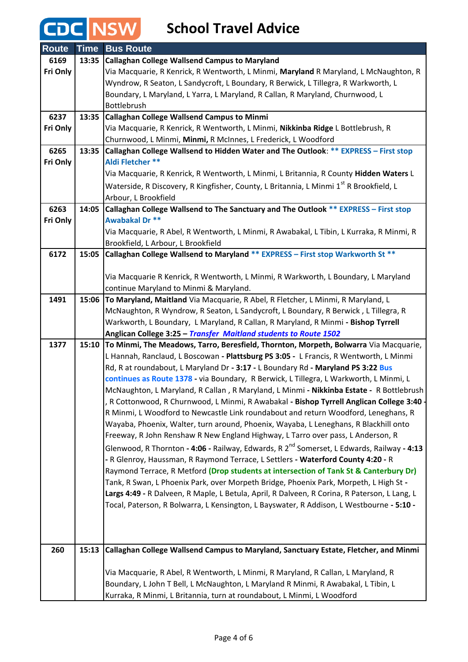# **CDC** NSW School Travel Advice

| <b>Route</b> | <b>Time</b> | <b>Bus Route</b>                                                                                                                                                         |
|--------------|-------------|--------------------------------------------------------------------------------------------------------------------------------------------------------------------------|
| 6169         | 13:35       | <b>Callaghan College Wallsend Campus to Maryland</b>                                                                                                                     |
| Fri Only     |             | Via Macquarie, R Kenrick, R Wentworth, L Minmi, Maryland R Maryland, L McNaughton, R                                                                                     |
|              |             | Wyndrow, R Seaton, L Sandycroft, L Boundary, R Berwick, L Tillegra, R Warkworth, L                                                                                       |
|              |             | Boundary, L Maryland, L Yarra, L Maryland, R Callan, R Maryland, Churnwood, L                                                                                            |
|              |             | Bottlebrush                                                                                                                                                              |
| 6237         | 13:35       | <b>Callaghan College Wallsend Campus to Minmi</b>                                                                                                                        |
| Fri Only     |             | Via Macquarie, R Kenrick, R Wentworth, L Minmi, Nikkinba Ridge L Bottlebrush, R                                                                                          |
|              |             | Churnwood, L Minmi, Minmi, R McInnes, L Frederick, L Woodford                                                                                                            |
| 6265         | 13:35       | Callaghan College Wallsend to Hidden Water and The Outlook: ** EXPRESS - First stop                                                                                      |
| Fri Only     |             | Aldi Fletcher **                                                                                                                                                         |
|              |             | Via Macquarie, R Kenrick, R Wentworth, L Minmi, L Britannia, R County <b>Hidden Waters</b> L                                                                             |
|              |             | Waterside, R Discovery, R Kingfisher, County, L Britannia, L Minmi 1 <sup>st</sup> R Brookfield, L                                                                       |
|              |             | Arbour, L Brookfield                                                                                                                                                     |
| 6263         | 14:05       | Callaghan College Wallsend to The Sanctuary and The Outlook ** EXPRESS - First stop                                                                                      |
| Fri Only     |             | Awabakal Dr **                                                                                                                                                           |
|              |             | Via Macquarie, R Abel, R Wentworth, L Minmi, R Awabakal, L Tibin, L Kurraka, R Minmi, R                                                                                  |
|              |             | Brookfield, L Arbour, L Brookfield                                                                                                                                       |
| 6172         | 15:05       | Callaghan College Wallsend to Maryland ** EXPRESS - First stop Warkworth St **                                                                                           |
|              |             |                                                                                                                                                                          |
|              |             | Via Macquarie R Kenrick, R Wentworth, L Minmi, R Warkworth, L Boundary, L Maryland                                                                                       |
| 1491         |             | continue Maryland to Minmi & Maryland.                                                                                                                                   |
|              | 15:06       | To Maryland, Maitland Via Macquarie, R Abel, R Fletcher, L Minmi, R Maryland, L                                                                                          |
|              |             | McNaughton, R Wyndrow, R Seaton, L Sandycroft, L Boundary, R Berwick, L Tillegra, R<br>Warkworth, L Boundary, L Maryland, R Callan, R Maryland, R Minmi - Bishop Tyrrell |
|              |             | Anglican College 3:25 - Transfer Maitland students to Route 1502                                                                                                         |
| 1377         | 15:10       | To Minmi, The Meadows, Tarro, Beresfield, Thornton, Morpeth, Bolwarra Via Macquarie,                                                                                     |
|              |             | L Hannah, Ranclaud, L Boscowan - Plattsburg PS 3:05 - L Francis, R Wentworth, L Minmi                                                                                    |
|              |             | Rd, R at roundabout, L Maryland Dr - 3:17 - L Boundary Rd - Maryland PS 3:22 Bus                                                                                         |
|              |             | continues as Route 1378 - via Boundary, R Berwick, L Tillegra, L Warkworth, L Minmi, L                                                                                   |
|              |             | McNaughton, L Maryland, R Callan, R Maryland, L Minmi - Nikkinba Estate - R Bottlebrush                                                                                  |
|              |             | R Cottonwood, R Churnwood, L Minmi, R Awabakal - Bishop Tyrrell Anglican College 3:40 -                                                                                  |
|              |             | R Minmi, L Woodford to Newcastle Link roundabout and return Woodford, Leneghans, R                                                                                       |
|              |             | Wayaba, Phoenix, Walter, turn around, Phoenix, Wayaba, L Leneghans, R Blackhill onto                                                                                     |
|              |             | Freeway, R John Renshaw R New England Highway, L Tarro over pass, L Anderson, R                                                                                          |
|              |             | Glenwood, R Thornton - 4:06 - Railway, Edwards, R 2 <sup>nd</sup> Somerset, L Edwards, Railway - 4:13                                                                    |
|              |             | - R Glenroy, Haussman, R Raymond Terrace, L Settlers - Waterford County 4:20 - R                                                                                         |
|              |             | Raymond Terrace, R Metford (Drop students at intersection of Tank St & Canterbury Dr)                                                                                    |
|              |             | Tank, R Swan, L Phoenix Park, over Morpeth Bridge, Phoenix Park, Morpeth, L High St -                                                                                    |
|              |             | Largs 4:49 - R Dalveen, R Maple, L Betula, April, R Dalveen, R Corina, R Paterson, L Lang, L                                                                             |
|              |             | Tocal, Paterson, R Bolwarra, L Kensington, L Bayswater, R Addison, L Westbourne - 5:10 -                                                                                 |
|              |             |                                                                                                                                                                          |
|              |             |                                                                                                                                                                          |
|              |             |                                                                                                                                                                          |
| 260          | 15:13       | Callaghan College Wallsend Campus to Maryland, Sanctuary Estate, Fletcher, and Minmi                                                                                     |
|              |             | Via Macquarie, R Abel, R Wentworth, L Minmi, R Maryland, R Callan, L Maryland, R                                                                                         |
|              |             | Boundary, L John T Bell, L McNaughton, L Maryland R Minmi, R Awabakal, L Tibin, L                                                                                        |
|              |             | Kurraka, R Minmi, L Britannia, turn at roundabout, L Minmi, L Woodford                                                                                                   |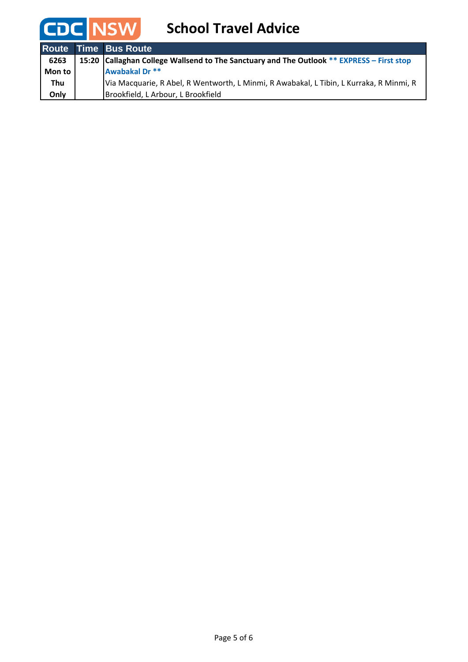

|        | <b>Route Time Bus Route</b>                                                                 |
|--------|---------------------------------------------------------------------------------------------|
| 6263   | 15:20   Callaghan College Wallsend to The Sanctuary and The Outlook ** EXPRESS - First stop |
| Mon to | Awabakal Dr **                                                                              |
| Thu    | Via Macquarie, R Abel, R Wentworth, L Minmi, R Awabakal, L Tibin, L Kurraka, R Minmi, R     |
| Only   | Brookfield, L Arbour, L Brookfield                                                          |